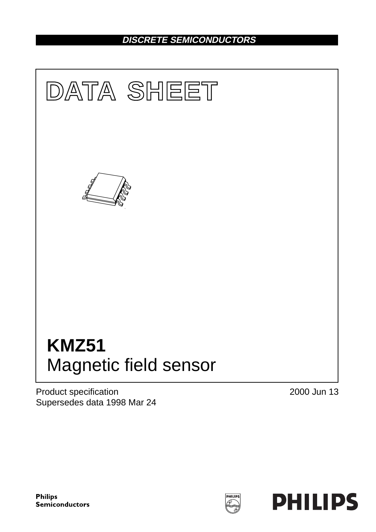## **DISCRETE SEMICONDUCTORS**



Product specification Supersedes data 1998 Mar 24 2000 Jun 13

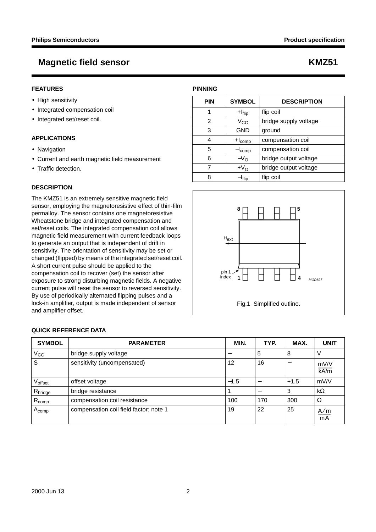#### **FEATURES**

- High sensitivity
- Integrated compensation coil
- Integrated set/reset coil.

#### **APPLICATIONS**

- Navigation
- Current and earth magnetic field measurement
- Traffic detection.

### **DESCRIPTION**

The KMZ51 is an extremely sensitive magnetic field sensor, employing the magnetoresistive effect of thin-film permalloy. The sensor contains one magnetoresistive Wheatstone bridge and integrated compensation and set/reset coils. The integrated compensation coil allows magnetic field measurement with current feedback loops to generate an output that is independent of drift in sensitivity. The orientation of sensitivity may be set or changed (flipped) by means of the integrated set/reset coil. A short current pulse should be applied to the compensation coil to recover (set) the sensor after exposure to strong disturbing magnetic fields. A negative current pulse will reset the sensor to reversed sensitivity. By use of periodically alternated flipping pulses and a lock-in amplifier, output is made independent of sensor and amplifier offset.

# **PINNING PIN SYMBOL DESCRIPTION**  $1$  +I $_{\text{flip}}$  | flip coil

|   | $V_{\rm CC}$       | bridge supply voltage |  |
|---|--------------------|-----------------------|--|
|   | <b>GND</b>         | ground                |  |
|   | $+I_{comp}$        | compensation coil     |  |
| 5 | ·I <sub>comp</sub> | compensation coil     |  |
|   | $-VO$              | bridge output voltage |  |
|   | $+VO$              | bridge output voltage |  |
|   | Iflip              | flip coil             |  |



### **QUICK REFERENCE DATA**

| <b>SYMBOL</b>       | <b>PARAMETER</b>                       | MIN.   | TYP. | MAX.   | <b>UNIT</b>      |
|---------------------|----------------------------------------|--------|------|--------|------------------|
| $V_{\rm CC}$        | bridge supply voltage                  |        | 5    | 8      | v                |
| S                   | sensitivity (uncompensated)            | 12     | 16   | —      | mV/V<br>kA/m     |
| Voffset             | offset voltage                         | $-1.5$ |      | $+1.5$ | mV/V             |
| R <sub>bridge</sub> | bridge resistance                      |        |      | 3      | $k\Omega$        |
| $R_{comp}$          | compensation coil resistance           | 100    | 170  | 300    | Ω                |
| $A_{comp}$          | compensation coil field factor; note 1 | 19     | 22   | 25     | $\frac{A/m}{mA}$ |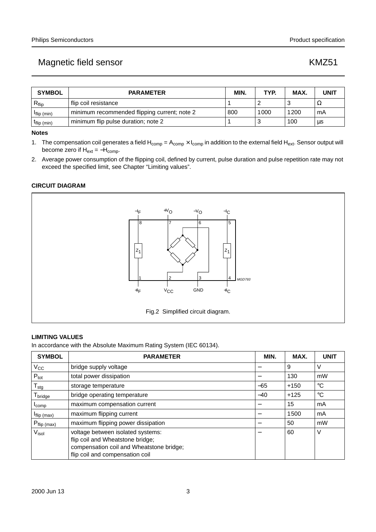| <b>SYMBOL</b>     | <b>PARAMETER</b>                             | MIN. | TYP. | MAX. | <b>UNIT</b> |
|-------------------|----------------------------------------------|------|------|------|-------------|
| $R_{\text{flip}}$ | flip coil resistance                         |      |      |      | 34          |
| $I$ flip (min)    | minimum recommended flipping current; note 2 | 800  | 000  | 1200 | mA          |
| $L$ flip (min)    | minimum flip pulse duration; note 2          |      |      | 100  | us          |

#### **Notes**

1. The compensation coil generates a field  $H_{\text{como}} = A_{\text{como}} \times I_{\text{como}}$  in addition to the external field  $H_{\text{ext}}$ . Sensor output will become zero if  $H_{ext} = -H_{comp}$ .

2. Average power consumption of the flipping coil, defined by current, pulse duration and pulse repetition rate may not exceed the specified limit, see Chapter "Limiting values".

### **CIRCUIT DIAGRAM**



#### **LIMITING VALUES**

In accordance with the Absolute Maximum Rating System (IEC 60134).

| <b>SYMBOL</b>                   | <b>PARAMETER</b>                                                                                                                                     | MIN.  | MAX.   | <b>UNIT</b>     |
|---------------------------------|------------------------------------------------------------------------------------------------------------------------------------------------------|-------|--------|-----------------|
| $V_{\rm CC}$                    | bridge supply voltage                                                                                                                                |       | 9      | ν               |
| $P_{\text{tot}}$                | total power dissipation                                                                                                                              |       | 130    | mW              |
| $T_{\text{stg}}$                | storage temperature                                                                                                                                  | $-65$ | $+150$ | $\rm ^{\circ}C$ |
| ${\mathsf T}_{\mathsf{bridge}}$ | bridge operating temperature                                                                                                                         | $-40$ | $+125$ | $^{\circ}C$     |
| <b>I</b> comp                   | maximum compensation current                                                                                                                         |       | 15     | mA              |
| $I$ flip (max)                  | maximum flipping current                                                                                                                             |       | 1500   | mA              |
| $P_{flip (max)}$                | maximum flipping power dissipation                                                                                                                   |       | 50     | mW              |
| $V_{\mathsf{isol}}$             | voltage between isolated systems:<br>flip coil and Wheatstone bridge;<br>compensation coil and Wheatstone bridge;<br>flip coil and compensation coil |       | 60     | V               |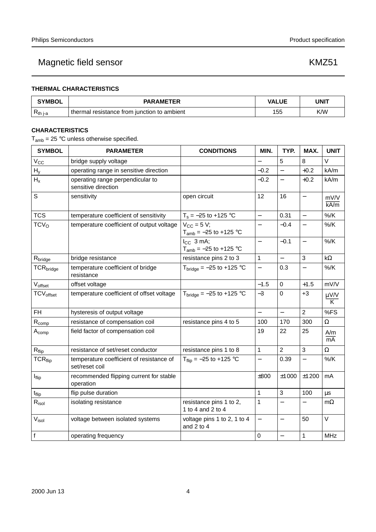### **THERMAL CHARACTERISTICS**

| <b>SYMBOL</b>   | <b>PARAMETER</b>                            | <b>VALUE</b> | UNIT |  |
|-----------------|---------------------------------------------|--------------|------|--|
| <b>K</b> th i-a | thermal resistance from junction to ambient | 155          | K/W  |  |

### **CHARACTERISTICS**

 $T_{amb}$  = 25 °C unless otherwise specified.

| <b>SYMBOL</b>                | <b>PARAMETER</b>                                           | <b>CONDITIONS</b>                             | MIN.                     | TYP.                     | MAX.                     | <b>UNIT</b>         |
|------------------------------|------------------------------------------------------------|-----------------------------------------------|--------------------------|--------------------------|--------------------------|---------------------|
| $V_{CC}$                     | bridge supply voltage                                      |                                               |                          | 5                        | 8                        | V                   |
| $H_V$                        | operating range in sensitive direction                     |                                               | $-0.2$                   | $\overline{\phantom{0}}$ | $+0.2$                   | kA/m                |
| H <sub>x</sub>               | operating range perpendicular to<br>sensitive direction    |                                               | $-0.2$                   | $\overline{\phantom{0}}$ | $+0.2$                   | kA/m                |
| S                            | sensitivity                                                | open circuit                                  | 12                       | 16                       |                          | mV/V<br>kA/m        |
| <b>TCS</b>                   | temperature coefficient of sensitivity                     | $T_s = -25$ to +125 °C                        | $\overline{\phantom{0}}$ | 0.31                     | $\overline{\phantom{0}}$ | $%$ /K              |
| TCV <sub>O</sub>             | temperature coefficient of output voltage                  | $V_{CC}$ = 5 V;<br>$T_{amb} = -25$ to +125 °C |                          | $-0.4$                   |                          | $\%$ /K             |
|                              |                                                            | $I_{CC}$ 3 mA;<br>$T_{amb} = -25$ to +125 °C  | $\overline{\phantom{0}}$ | $-0.1$                   | $\overline{\phantom{0}}$ | $%$ /K              |
| R <sub>bridge</sub>          | bridge resistance                                          | resistance pins 2 to 3                        | 1                        | $\overline{\phantom{0}}$ | $\mathbf{3}$             | $k\Omega$           |
| TCR <sub>bridge</sub>        | temperature coefficient of bridge<br>resistance            | $Tbridge = -25$ to +125 °C                    | $\overline{\phantom{0}}$ | 0.3                      |                          | $%$ /K              |
| $V_{offset}$                 | offset voltage                                             |                                               | $-1.5$                   | $\boldsymbol{0}$         | $+1.5$                   | mV/V                |
| <b>TCV</b> <sub>offset</sub> | temperature coefficient of offset voltage                  | $Tbridge = -25$ to +125 °C                    | $-3$                     | $\mathbf 0$              | $+3$                     | $\frac{\mu V/V}{K}$ |
| FH.                          | hysteresis of output voltage                               |                                               | $\overline{\phantom{0}}$ | $\equiv$                 | $\overline{2}$           | %FS                 |
| $R_{comp}$                   | resistance of compensation coil                            | resistance pins 4 to 5                        | 100                      | 170                      | 300                      | $\Omega$            |
| $A_{comp}$                   | field factor of compensation coil                          |                                               | 19                       | 22                       | 25                       | A/m<br>mA           |
| $\mathsf{R}_{\mathsf{flip}}$ | resistance of set/reset conductor                          | resistance pins 1 to 8                        | 1                        | $\overline{2}$           | 3                        | $\Omega$            |
| $TCR_{flip}$                 | temperature coefficient of resistance of<br>set/reset coil | $T_{flip} = -25$ to +125 °C                   | $\overline{\phantom{0}}$ | 0.39                     | $\overline{\phantom{0}}$ | $%$ /K              |
| $I_{flip}$                   | recommended flipping current for stable<br>operation       |                                               | ±800                     | ±1000                    | ±1200                    | mA                  |
| $t_{\text{flip}}$            | flip pulse duration                                        |                                               | $\mathbf 1$              | 3                        | 100                      | $\mu s$             |
| $R_{\mathsf{isol}}$          | isolating resistance                                       | resistance pins 1 to 2,<br>1 to 4 and 2 to 4  | 1                        |                          |                          | $m\Omega$           |
| V <sub>isol</sub>            | voltage between isolated systems                           | voltage pins 1 to 2, 1 to 4<br>and 2 to 4     | $\overline{a}$           | $\overline{\phantom{0}}$ | 50                       | $\vee$              |
| $\mathsf{f}$                 | operating frequency                                        |                                               | $\pmb{0}$                | $\overline{\phantom{0}}$ | 1                        | <b>MHz</b>          |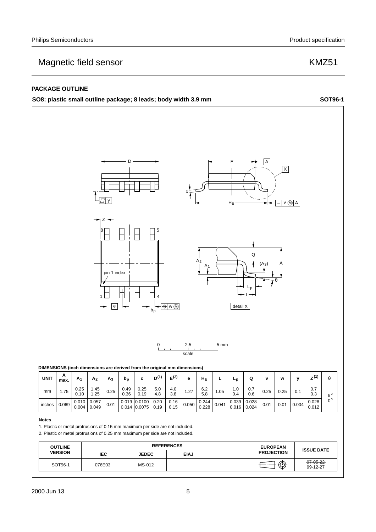#### **PACKAGE OUTLINE**

#### **SO8: plastic small outline package; 8 leads; body width 3.9 mm SOT96-1**

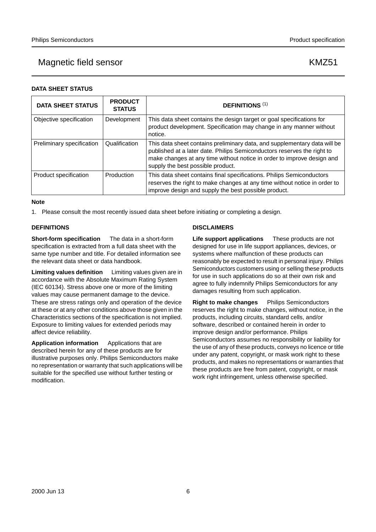**DATA SHEET STATUS**

## Magnetic field sensor **KMZ51**

### **DATA SHEET STATUS PRODUCT DEFINITIONS** (1) Objective specification Development This data sheet contains the design target or goal specifications for product development. Specification may change in any manner without notice. Preliminary specification  $\Box$ Qualification  $\Box$ This data sheet contains preliminary data, and supplementary data will be published at a later date. Philips Semiconductors reserves the right to make changes at any time without notice in order to improve design and supply the best possible product. Product specification | Production | This data sheet contains final specifications. Philips Semiconductors reserves the right to make changes at any time without notice in order to improve design and supply the best possible product.

#### **Note**

1. Please consult the most recently issued data sheet before initiating or completing a design.

### **DEFINITIONS**

**Short-form specification** — The data in a short-form specification is extracted from a full data sheet with the same type number and title. For detailed information see the relevant data sheet or data handbook.

**Limiting values definition** — Limiting values given are in accordance with the Absolute Maximum Rating System (IEC 60134). Stress above one or more of the limiting values may cause permanent damage to the device. These are stress ratings only and operation of the device at these or at any other conditions above those given in the Characteristics sections of the specification is not implied. Exposure to limiting values for extended periods may affect device reliability.

**Application information** — Applications that are described herein for any of these products are for illustrative purposes only. Philips Semiconductors make no representation or warranty that such applications will be suitable for the specified use without further testing or modification.

### **DISCLAIMERS**

**Life support applications** — These products are not designed for use in life support appliances, devices, or systems where malfunction of these products can reasonably be expected to result in personal injury. Philips Semiconductors customers using or selling these products for use in such applications do so at their own risk and agree to fully indemnify Philips Semiconductors for any damages resulting from such application.

**Right to make changes** - Philips Semiconductors reserves the right to make changes, without notice, in the products, including circuits, standard cells, and/or software, described or contained herein in order to improve design and/or performance. Philips Semiconductors assumes no responsibility or liability for the use of any of these products, conveys no licence or title under any patent, copyright, or mask work right to these products, and makes no representations or warranties that these products are free from patent, copyright, or mask work right infringement, unless otherwise specified.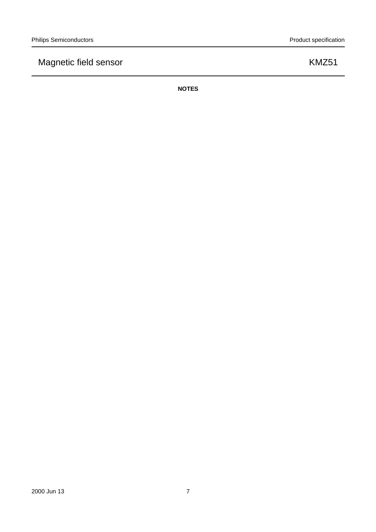**NOTES**